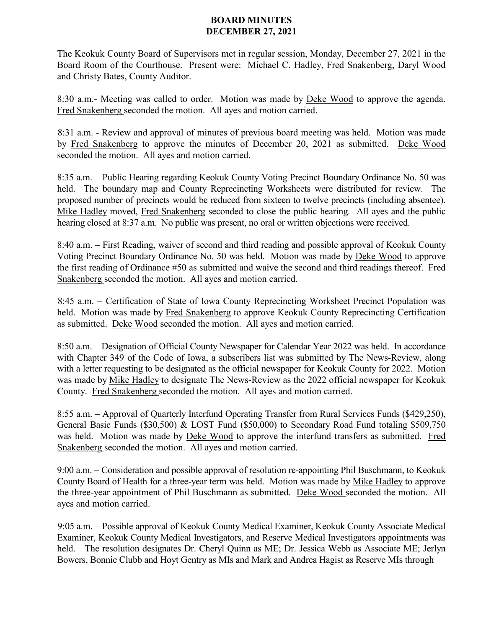## **BOARD MINUTES DECEMBER 27, 2021**

The Keokuk County Board of Supervisors met in regular session, Monday, December 27, 2021 in the Board Room of the Courthouse. Present were: Michael C. Hadley, Fred Snakenberg, Daryl Wood and Christy Bates, County Auditor.

8:30 a.m.- Meeting was called to order. Motion was made by Deke Wood to approve the agenda. Fred Snakenberg seconded the motion. All ayes and motion carried.

8:31 a.m. - Review and approval of minutes of previous board meeting was held. Motion was made by Fred Snakenberg to approve the minutes of December 20, 2021 as submitted. Deke Wood seconded the motion. All ayes and motion carried.

8:35 a.m. – Public Hearing regarding Keokuk County Voting Precinct Boundary Ordinance No. 50 was held. The boundary map and County Reprecincting Worksheets were distributed for review. The proposed number of precincts would be reduced from sixteen to twelve precincts (including absentee). Mike Hadley moved, Fred Snakenberg seconded to close the public hearing. All ayes and the public hearing closed at 8:37 a.m. No public was present, no oral or written objections were received.

8:40 a.m. – First Reading, waiver of second and third reading and possible approval of Keokuk County Voting Precinct Boundary Ordinance No. 50 was held. Motion was made by Deke Wood to approve the first reading of Ordinance #50 as submitted and waive the second and third readings thereof. Fred Snakenberg seconded the motion. All ayes and motion carried.

8:45 a.m. – Certification of State of Iowa County Reprecincting Worksheet Precinct Population was held. Motion was made by Fred Snakenberg to approve Keokuk County Reprecincting Certification as submitted. Deke Wood seconded the motion. All ayes and motion carried.

8:50 a.m. – Designation of Official County Newspaper for Calendar Year 2022 was held. In accordance with Chapter 349 of the Code of Iowa, a subscribers list was submitted by The News-Review, along with a letter requesting to be designated as the official newspaper for Keokuk County for 2022. Motion was made by Mike Hadley to designate The News-Review as the 2022 official newspaper for Keokuk County. Fred Snakenberg seconded the motion. All ayes and motion carried.

8:55 a.m. – Approval of Quarterly Interfund Operating Transfer from Rural Services Funds (\$429,250), General Basic Funds (\$30,500) & LOST Fund (\$50,000) to Secondary Road Fund totaling \$509,750 was held. Motion was made by Deke Wood to approve the interfund transfers as submitted. Fred Snakenberg seconded the motion. All ayes and motion carried.

9:00 a.m. – Consideration and possible approval of resolution re-appointing Phil Buschmann, to Keokuk County Board of Health for a three-year term was held. Motion was made by Mike Hadley to approve the three-year appointment of Phil Buschmann as submitted. Deke Wood seconded the motion. All ayes and motion carried.

9:05 a.m. – Possible approval of Keokuk County Medical Examiner, Keokuk County Associate Medical Examiner, Keokuk County Medical Investigators, and Reserve Medical Investigators appointments was held. The resolution designates Dr. Cheryl Quinn as ME; Dr. Jessica Webb as Associate ME; Jerlyn Bowers, Bonnie Clubb and Hoyt Gentry as MIs and Mark and Andrea Hagist as Reserve MIs through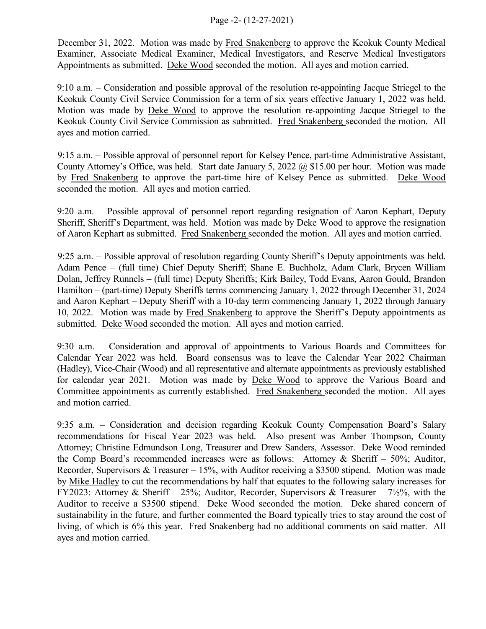## Page -2- (12-27-2021)

December 31, 2022. Motion was made by Fred Snakenberg to approve the Keokuk County Medical Examiner, Associate Medical Examiner, Medical Investigators, and Reserve Medical Investigators Appointments as submitted. Deke Wood seconded the motion. All ayes and motion carried.

9:10 a.m. – Consideration and possible approval of the resolution re-appointing Jacque Striegel to the Keokuk County Civil Service Commission for a term of six years effective January 1, 2022 was held. Motion was made by Deke Wood to approve the resolution re-appointing Jacque Striegel to the Keokuk County Civil Service Commission as submitted. Fred Snakenberg seconded the motion. All ayes and motion carried.

9:15 a.m. – Possible approval of personnel report for Kelsey Pence, part-time Administrative Assistant, County Attorney's Office, was held. Start date January 5, 2022 @ \$15.00 per hour. Motion was made by Fred Snakenberg to approve the part-time hire of Kelsey Pence as submitted. Deke Wood seconded the motion. All ayes and motion carried.

9:20 a.m. – Possible approval of personnel report regarding resignation of Aaron Kephart, Deputy Sheriff, Sheriff's Department, was held. Motion was made by Deke Wood to approve the resignation of Aaron Kephart as submitted. Fred Snakenberg seconded the motion. All ayes and motion carried.

9:25 a.m. – Possible approval of resolution regarding County Sheriff's Deputy appointments was held. Adam Pence – (full time) Chief Deputy Sheriff; Shane E. Buchholz, Adam Clark, Brycen William Dolan, Jeffrey Runnels – (full time) Deputy Sheriffs; Kirk Bailey, Todd Evans, Aaron Gould, Brandon Hamilton – (part-time) Deputy Sheriffs terms commencing January 1, 2022 through December 31, 2024 and Aaron Kephart – Deputy Sheriff with a 10-day term commencing January 1, 2022 through January 10, 2022. Motion was made by Fred Snakenberg to approve the Sheriff's Deputy appointments as submitted. Deke Wood seconded the motion. All ayes and motion carried.

9:30 a.m. – Consideration and approval of appointments to Various Boards and Committees for Calendar Year 2022 was held. Board consensus was to leave the Calendar Year 2022 Chairman (Hadley), Vice-Chair (Wood) and all representative and alternate appointments as previously established for calendar year 2021. Motion was made by Deke Wood to approve the Various Board and Committee appointments as currently established. Fred Snakenberg seconded the motion. All ayes and motion carried.

9:35 a.m. – Consideration and decision regarding Keokuk County Compensation Board's Salary recommendations for Fiscal Year 2023 was held. Also present was Amber Thompson, County Attorney; Christine Edmundson Long, Treasurer and Drew Sanders, Assessor. Deke Wood reminded the Comp Board's recommended increases were as follows: Attorney & Sheriff – 50%; Auditor, Recorder, Supervisors & Treasurer – 15%, with Auditor receiving a \$3500 stipend. Motion was made by Mike Hadley to cut the recommendations by half that equates to the following salary increases for FY2023: Attorney & Sheriff – 25%; Auditor, Recorder, Supervisors & Treasurer –  $7\frac{1}{2}\%$ , with the Auditor to receive a \$3500 stipend. Deke Wood seconded the motion. Deke shared concern of sustainability in the future, and further commented the Board typically tries to stay around the cost of living, of which is 6% this year. Fred Snakenberg had no additional comments on said matter. All ayes and motion carried.